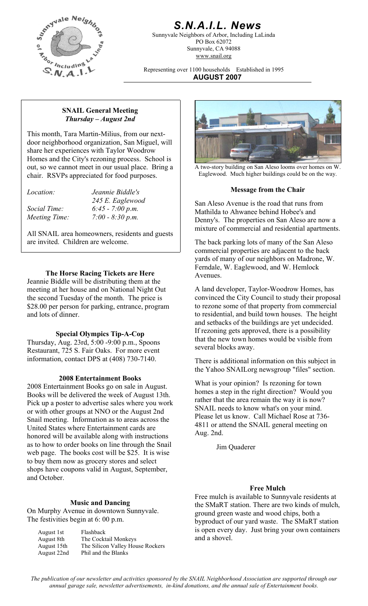

# *S.N.A.I.L. News*

Sunnyvale Neighbors of Arbor, Including LaLinda PO Box 62072 Sunnyvale, CA 94088 www.snail.org

Representing over 1100 households Established in 1995 **AUGUST 2007**

#### **SNAIL General Meeting**  *Thursday – August 2nd*

This month, Tara Martin-Milius, from our nextdoor neighborhood organization, San Miguel, will share her experiences with Taylor Woodrow Homes and the City's rezoning process. School is out, so we cannot meet in our usual place. Bring a chair. RSVPs appreciated for food purposes.

*Social Time: 6:45 - 7:00 p.m. Meeting Time: 7:00 - 8:30 p.m.* 

All SNAIL area homeowners, residents and guests are invited. Children are welcome. The back parking lots of many of the San Aleso

## **The Horse Racing Tickets are Here** Avenues.

Jeannie Biddle will be distributing them at the meeting at her house and on National Night Out the second Tuesday of the month. The price is \$28.00 per person for parking, entrance, program and lots of dinner.

## **Special Olympics Tip-A-Cop**

Thursday, Aug. 23rd, 5:00 -9:00 p.m., Spoons Restaurant, 725 S. Fair Oaks. For more event

## **2008 Entertainment Books**

2008 Entertainment Books go on sale in August. Books will be delivered the week of August 13th. Pick up a poster to advertise sales where you work or with other groups at NNO or the August 2nd Snail meeting. Information as to areas across the United States where Entertainment cards are honored will be available along with instructions as to how to order books on line through the Snail web page. The books cost will be \$25. It is wise to buy them now as grocery stores and select shops have coupons valid in August, September, and October.

## **Music and Dancing**

On Murphy Avenue in downtown Sunnyvale. The festivities begin at 6: 00 p.m.

| August 1st  | Flashback                        |
|-------------|----------------------------------|
| August 8th  | The Cocktail Monkeys             |
| August 15th | The Silicon Valley House Rockers |
| August 22nd | Phil and the Blanks              |
|             |                                  |



A two-story building on San Aleso looms over homes on W. Eaglewood. Much higher buildings could be on the way.

## **Message from the Chair** *Location: Jeannie Biddle's*

245 E. Eaglewood San Aleso Avenue is the road that runs from Mathilda to Ahwanee behind Hobee's and Denny's. The properties on San Aleso are now a mixture of commercial and residential apartments.

> commercial properties are adjacent to the back yards of many of our neighbors on Madrone, W. Ferndale, W. Eaglewood, and W. Hemlock

A land developer, Taylor-Woodrow Homes, has convinced the City Council to study their proposal to rezone some of that property from commercial to residential, and build town houses. The height and setbacks of the buildings are yet undecided. If rezoning gets approved, there is a possibility that the new town homes would be visible from several blocks away.

information, contact DPS at (408) 730-7140. There is additional information on this subject in the Yahoo SNAILorg newsgroup "files" section.

> What is your opinion? Is rezoning for town homes a step in the right direction? Would you rather that the area remain the way it is now? SNAIL needs to know what's on your mind. Please let us know. Call Michael Rose at 736- 4811 or attend the SNAIL general meeting on Aug. 2nd.

> > Jim Quaderer

## **Free Mulch**

Free mulch is available to Sunnyvale residents at the SMaRT station. There are two kinds of mulch, ground green waste and wood chips, both a byproduct of our yard waste. The SMaRT station is open every day. Just bring your own containers and a shovel.

*The publication of our newsletter and activities sponsored by the SNAIL Neighborhood Association are supported through our annual garage sale, newsletter advertisements, in-kind donations, and the annual sale of Entertainment books.*